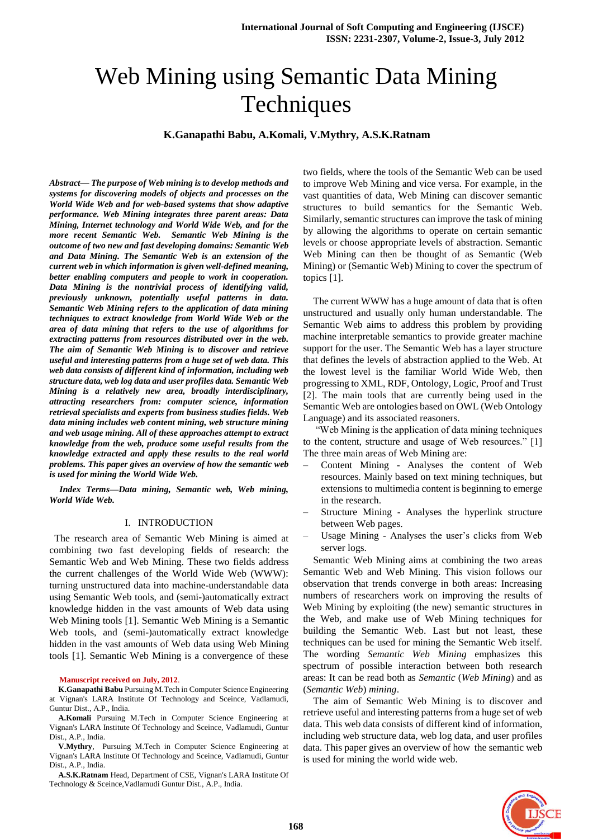# Web Mining using Semantic Data Mining **Techniques**

**K.Ganapathi Babu, A.Komali, V.Mythry, A.S.K.Ratnam**

*Abstract— The purpose of Web mining is to develop methods and systems for discovering models of objects and processes on the World Wide Web and for web-based systems that show adaptive performance. Web Mining integrates three parent areas: Data Mining, Internet technology and World Wide Web, and for the more recent Semantic Web. Semantic Web Mining is the outcome of two new and fast developing domains: Semantic Web and Data Mining. The Semantic Web is an extension of the current web in which information is given well-defined meaning, better enabling computers and people to work in cooperation. Data Mining is the nontrivial process of identifying valid, previously unknown, potentially useful patterns in data. Semantic Web Mining refers to the application of data mining techniques to extract knowledge from World Wide Web or the area of data mining that refers to the use of algorithms for extracting patterns from resources distributed over in the web. The aim of Semantic Web Mining is to discover and retrieve useful and interesting patterns from a huge set of web data. This web data consists of different kind of information, including web structure data, web log data and user profiles data. Semantic Web Mining is a relatively new area, broadly interdisciplinary, attracting researchers from: computer science, information retrieval specialists and experts from business studies fields. Web data mining includes web content mining, web structure mining and web usage mining. All of these approaches attempt to extract knowledge from the web, produce some useful results from the knowledge extracted and apply these results to the real world problems. This paper gives an overview of how the semantic web is used for mining the World Wide Web.*

*Index Terms***—***Data mining, Semantic web, Web mining, World Wide Web.* 

#### I. INTRODUCTION

 The research area of Semantic Web Mining is aimed at combining two fast developing fields of research: the Semantic Web and Web Mining. These two fields address the current challenges of the World Wide Web (WWW): turning unstructured data into machine-understandable data using Semantic Web tools, and (semi-)automatically extract knowledge hidden in the vast amounts of Web data using Web Mining tools [1]. Semantic Web Mining is a Semantic Web tools, and (semi-)automatically extract knowledge hidden in the vast amounts of Web data using Web Mining tools [1]. Semantic Web Mining is a convergence of these

#### **Manuscript received on July, 2012**.

**K.Ganapathi Babu** Pursuing M.Tech in Computer Science Engineering at Vignan's LARA Institute Of Technology and Sceince, Vadlamudi, Guntur Dist., A.P., India.

**A.Komali** Pursuing M.Tech in Computer Science Engineering at Vignan's LARA Institute Of Technology and Sceince, Vadlamudi, Guntur Dist., A.P., India.

**V.Mythry**, Pursuing M.Tech in Computer Science Engineering at Vignan's LARA Institute Of Technology and Sceince, Vadlamudi, Guntur Dist., A.P., India.

**A.S.K.Ratnam** Head, Department of CSE, Vignan's LARA Institute Of Technology & Sceince,Vadlamudi Guntur Dist., A.P., India.

two fields, where the tools of the Semantic Web can be used to improve Web Mining and vice versa. For example, in the vast quantities of data, Web Mining can discover semantic structures to build semantics for the Semantic Web. Similarly, semantic structures can improve the task of mining by allowing the algorithms to operate on certain semantic levels or choose appropriate levels of abstraction. Semantic Web Mining can then be thought of as Semantic (Web Mining) or (Semantic Web) Mining to cover the spectrum of topics [1].

The current WWW has a huge amount of data that is often unstructured and usually only human understandable. The Semantic Web aims to address this problem by providing machine interpretable semantics to provide greater machine support for the user. The Semantic Web has a layer structure that defines the levels of abstraction applied to the Web. At the lowest level is the familiar World Wide Web, then progressing to XML, RDF, Ontology, Logic, Proof and Trust [2]. The main tools that are currently being used in the Semantic Web are ontologies based on OWL (Web Ontology Language) and its associated reasoners.

"Web Mining is the application of data mining techniques to the content, structure and usage of Web resources." [1] The three main areas of Web Mining are:

- Content Mining Analyses the content of Web resources. Mainly based on text mining techniques, but extensions to multimedia content is beginning to emerge in the research.
- Structure Mining Analyses the hyperlink structure between Web pages.
- Usage Mining Analyses the user"s clicks from Web server logs.

Semantic Web Mining aims at combining the two areas Semantic Web and Web Mining. This vision follows our observation that trends converge in both areas: Increasing numbers of researchers work on improving the results of Web Mining by exploiting (the new) semantic structures in the Web, and make use of Web Mining techniques for building the Semantic Web. Last but not least, these techniques can be used for mining the Semantic Web itself. The wording *Semantic Web Mining* emphasizes this spectrum of possible interaction between both research areas: It can be read both as *Semantic* (*Web Mining*) and as (*Semantic Web*) *mining*.

The aim of Semantic Web Mining is to discover and retrieve useful and interesting patterns from a huge set of web data. This web data consists of different kind of information, including web structure data, web log data, and user profiles data. This paper gives an overview of how the semantic web is used for mining the world wide web.

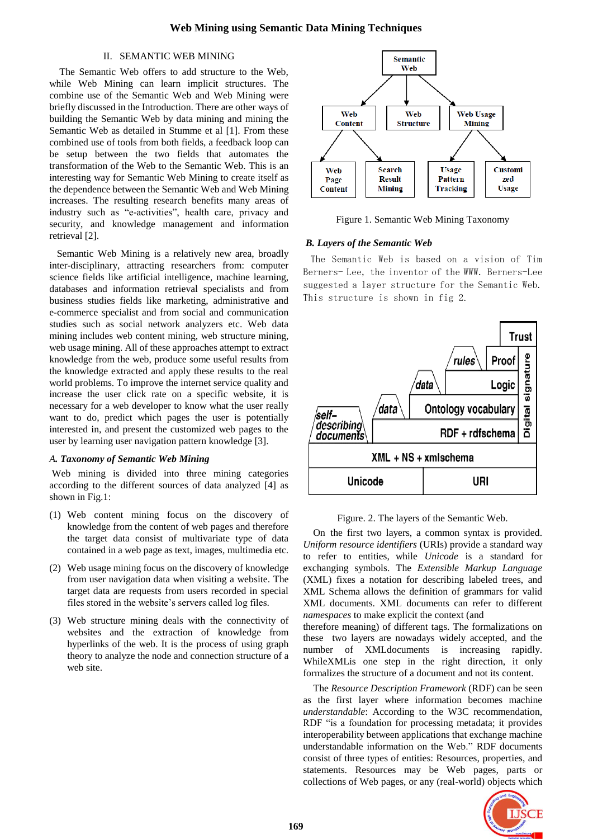## II. SEMANTIC WEB MINING

 The Semantic Web offers to add structure to the Web, while Web Mining can learn implicit structures. The combine use of the Semantic Web and Web Mining were briefly discussed in the Introduction. There are other ways of building the Semantic Web by data mining and mining the Semantic Web as detailed in Stumme et al [1]. From these combined use of tools from both fields, a feedback loop can be setup between the two fields that automates the transformation of the Web to the Semantic Web. This is an interesting way for Semantic Web Mining to create itself as the dependence between the Semantic Web and Web Mining increases. The resulting research benefits many areas of industry such as "e-activities", health care, privacy and security, and knowledge management and information retrieval [2].

 Semantic Web Mining is a relatively new area, broadly inter-disciplinary, attracting researchers from: computer science fields like artificial intelligence, machine learning, databases and information retrieval specialists and from business studies fields like marketing, administrative and e-commerce specialist and from social and communication studies such as social network analyzers etc. Web data mining includes web content mining, web structure mining, web usage mining. All of these approaches attempt to extract knowledge from the web, produce some useful results from the knowledge extracted and apply these results to the real world problems. To improve the internet service quality and increase the user click rate on a specific website, it is necessary for a web developer to know what the user really want to do, predict which pages the user is potentially interested in, and present the customized web pages to the user by learning user navigation pattern knowledge [3].

# *A. Taxonomy of Semantic Web Mining*

Web mining is divided into three mining categories according to the different sources of data analyzed [4] as shown in Fig.1:

- (1) Web content mining focus on the discovery of knowledge from the content of web pages and therefore the target data consist of multivariate type of data contained in a web page as text, images, multimedia etc.
- (2) Web usage mining focus on the discovery of knowledge from user navigation data when visiting a website. The target data are requests from users recorded in special files stored in the website's servers called log files.
- (3) Web structure mining deals with the connectivity of websites and the extraction of knowledge from hyperlinks of the web. It is the process of using graph theory to analyze the node and connection structure of a web site.



Figure 1. Semantic Web Mining Taxonomy

# *B. Layers of the Semantic Web*

 The Semantic Web is based on a vision of Tim Berners- Lee, the inventor of the WWW. Berners-Lee suggested a layer structure for the Semantic Web. This structure is shown in fig 2.



Figure. 2. The layers of the Semantic Web.

On the first two layers, a common syntax is provided. *Uniform resource identifiers* (URIs) provide a standard way to refer to entities, while *Unicode* is a standard for exchanging symbols. The *Extensible Markup Language*  (XML) fixes a notation for describing labeled trees, and XML Schema allows the definition of grammars for valid XML documents. XML documents can refer to different *namespaces* to make explicit the context (and

therefore meaning) of different tags. The formalizations on these two layers are nowadays widely accepted, and the number of XMLdocuments is increasing rapidly. WhileXMLis one step in the right direction, it only formalizes the structure of a document and not its content.

The *Resource Description Framework* (RDF) can be seen as the first layer where information becomes machine *understandable*: According to the W3C recommendation, RDF "is a foundation for processing metadata; it provides interoperability between applications that exchange machine understandable information on the Web." RDF documents consist of three types of entities: Resources, properties, and statements. Resources may be Web pages, parts or collections of Web pages, or any (real-world) objects which

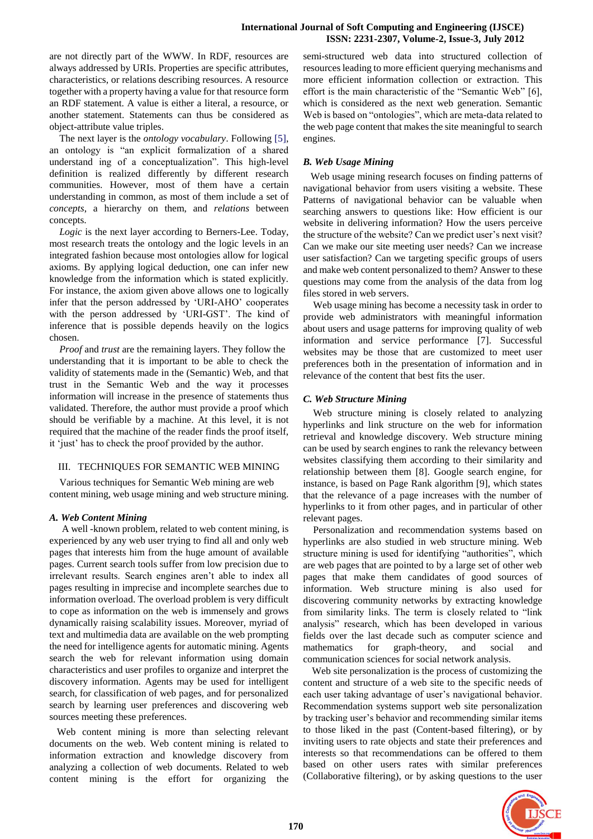are not directly part of the WWW. In RDF, resources are always addressed by URIs. Properties are specific attributes, characteristics, or relations describing resources. A resource together with a property having a value for that resource form an RDF statement. A value is either a literal, a resource, or another statement. Statements can thus be considered as object-attribute value triples.

The next layer is the *ontology vocabulary*. Following [5], an ontology is "an explicit formalization of a shared understand ing of a conceptualization". This high-level definition is realized differently by different research communities. However, most of them have a certain understanding in common, as most of them include a set of *concepts*, a hierarchy on them, and *relations* between concepts.

 *Logic* is the next layer according to Berners-Lee. Today, most research treats the ontology and the logic levels in an integrated fashion because most ontologies allow for logical axioms. By applying logical deduction, one can infer new knowledge from the information which is stated explicitly. For instance, the axiom given above allows one to logically infer that the person addressed by "URI-AHO" cooperates with the person addressed by "URI-GST". The kind of inference that is possible depends heavily on the logics chosen.

*Proof* and *trust* are the remaining layers. They follow the understanding that it is important to be able to check the validity of statements made in the (Semantic) Web, and that trust in the Semantic Web and the way it processes information will increase in the presence of statements thus validated. Therefore, the author must provide a proof which should be verifiable by a machine. At this level, it is not required that the machine of the reader finds the proof itself, it "just" has to check the proof provided by the author.

#### III. TECHNIQUES FOR SEMANTIC WEB MINING

Various techniques for Semantic Web mining are web content mining, web usage mining and web structure mining.

## *A. Web Content Mining*

 A well -known problem, related to web content mining, is experienced by any web user trying to find all and only web pages that interests him from the huge amount of available pages. Current search tools suffer from low precision due to irrelevant results. Search engines aren"t able to index all pages resulting in imprecise and incomplete searches due to information overload. The overload problem is very difficult to cope as information on the web is immensely and grows dynamically raising scalability issues. Moreover, myriad of text and multimedia data are available on the web prompting the need for intelligence agents for automatic mining. Agents search the web for relevant information using domain characteristics and user profiles to organize and interpret the discovery information. Agents may be used for intelligent search, for classification of web pages, and for personalized search by learning user preferences and discovering web sources meeting these preferences.

 Web content mining is more than selecting relevant documents on the web. Web content mining is related to information extraction and knowledge discovery from analyzing a collection of web documents. Related to web content mining is the effort for organizing the semi-structured web data into structured collection of resources leading to more efficient querying mechanisms and more efficient information collection or extraction. This effort is the main characteristic of the "Semantic Web" [6], which is considered as the next web generation. Semantic Web is based on "ontologies", which are meta-data related to the web page content that makes the site meaningful to search engines.

# *B. Web Usage Mining*

 Web usage mining research focuses on finding patterns of navigational behavior from users visiting a website. These Patterns of navigational behavior can be valuable when searching answers to questions like: How efficient is our website in delivering information? How the users perceive the structure of the website? Can we predict user's next visit? Can we make our site meeting user needs? Can we increase user satisfaction? Can we targeting specific groups of users and make web content personalized to them? Answer to these questions may come from the analysis of the data from log files stored in web servers.

 Web usage mining has become a necessity task in order to provide web administrators with meaningful information about users and usage patterns for improving quality of web information and service performance [7]. Successful websites may be those that are customized to meet user preferences both in the presentation of information and in relevance of the content that best fits the user.

# *C. Web Structure Mining*

 Web structure mining is closely related to analyzing hyperlinks and link structure on the web for information retrieval and knowledge discovery. Web structure mining can be used by search engines to rank the relevancy between websites classifying them according to their similarity and relationship between them [8]. Google search engine, for instance, is based on Page Rank algorithm [9], which states that the relevance of a page increases with the number of hyperlinks to it from other pages, and in particular of other relevant pages.

 Personalization and recommendation systems based on hyperlinks are also studied in web structure mining. Web structure mining is used for identifying "authorities", which are web pages that are pointed to by a large set of other web pages that make them candidates of good sources of information. Web structure mining is also used for discovering community networks by extracting knowledge from similarity links. The term is closely related to "link analysis" research, which has been developed in various fields over the last decade such as computer science and mathematics for graph-theory, and social and communication sciences for social network analysis.

 Web site personalization is the process of customizing the content and structure of a web site to the specific needs of each user taking advantage of user"s navigational behavior. Recommendation systems support web site personalization by tracking user"s behavior and recommending similar items to those liked in the past (Content-based filtering), or by inviting users to rate objects and state their preferences and interests so that recommendations can be offered to them based on other users rates with similar preferences (Collaborative filtering), or by asking questions to the user